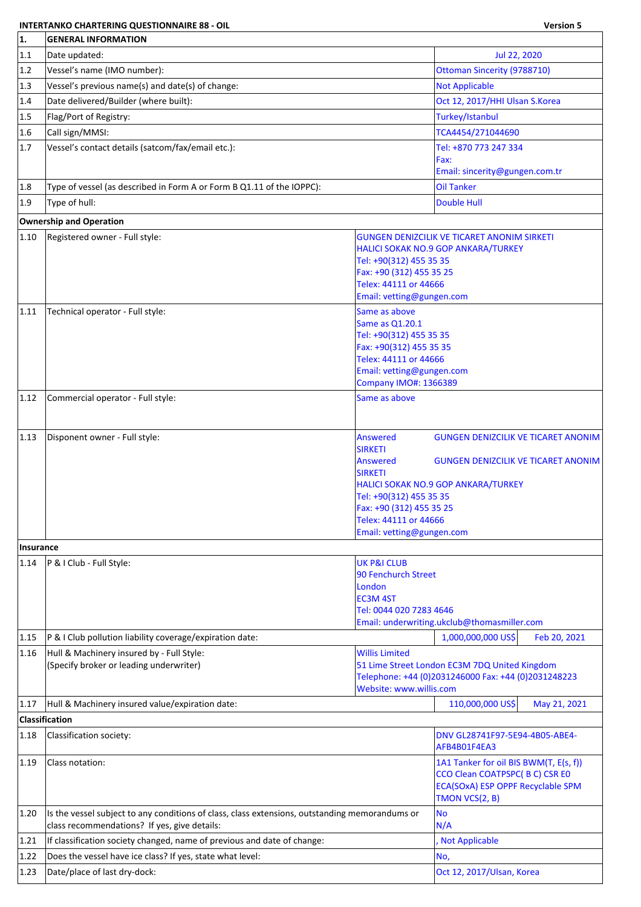## **INTERTANKO CHARTERING QUESTIONNAIRE 88 - OIL Version 5**

| 1.        | <b>GENERAL INFORMATION</b>                                                                                                                     |                                                                                                                                                                                     |                                                                                                                                       |
|-----------|------------------------------------------------------------------------------------------------------------------------------------------------|-------------------------------------------------------------------------------------------------------------------------------------------------------------------------------------|---------------------------------------------------------------------------------------------------------------------------------------|
| 1.1       | Date updated:                                                                                                                                  |                                                                                                                                                                                     | Jul 22, 2020                                                                                                                          |
| 1.2       | Vessel's name (IMO number):                                                                                                                    |                                                                                                                                                                                     | <b>Ottoman Sincerity (9788710)</b>                                                                                                    |
| 1.3       | Vessel's previous name(s) and date(s) of change:                                                                                               |                                                                                                                                                                                     | <b>Not Applicable</b>                                                                                                                 |
| 1.4       | Date delivered/Builder (where built):                                                                                                          |                                                                                                                                                                                     | Oct 12, 2017/HHI Ulsan S.Korea                                                                                                        |
| 1.5       | Flag/Port of Registry:                                                                                                                         |                                                                                                                                                                                     | Turkey/Istanbul                                                                                                                       |
| 1.6       | Call sign/MMSI:                                                                                                                                |                                                                                                                                                                                     | TCA4454/271044690                                                                                                                     |
| 1.7       | Vessel's contact details (satcom/fax/email etc.):                                                                                              |                                                                                                                                                                                     | Tel: +870 773 247 334                                                                                                                 |
|           |                                                                                                                                                |                                                                                                                                                                                     | Fax:                                                                                                                                  |
|           |                                                                                                                                                |                                                                                                                                                                                     | Email: sincerity@gungen.com.tr                                                                                                        |
| 1.8       | Type of vessel (as described in Form A or Form B Q1.11 of the IOPPC):                                                                          |                                                                                                                                                                                     | <b>Oil Tanker</b>                                                                                                                     |
| 1.9       | Type of hull:                                                                                                                                  |                                                                                                                                                                                     | Double Hull                                                                                                                           |
|           | <b>Ownership and Operation</b>                                                                                                                 |                                                                                                                                                                                     |                                                                                                                                       |
| 1.10      | Registered owner - Full style:                                                                                                                 | Tel: +90(312) 455 35 35<br>Fax: +90 (312) 455 35 25<br>Telex: 44111 or 44666<br>Email: vetting@gungen.com                                                                           | GUNGEN DENIZCILIK VE TICARET ANONIM SIRKETI<br>HALICI SOKAK NO.9 GOP ANKARA/TURKEY                                                    |
| 1.11      | Technical operator - Full style:                                                                                                               | Same as above<br>Same as Q1.20.1<br>Tel: +90(312) 455 35 35<br>Fax: +90(312) 455 35 35<br>Telex: 44111 or 44666<br>Email: vetting@gungen.com<br>Company IMO#: 1366389               |                                                                                                                                       |
| 1.12      | Commercial operator - Full style:                                                                                                              | Same as above                                                                                                                                                                       |                                                                                                                                       |
|           |                                                                                                                                                |                                                                                                                                                                                     |                                                                                                                                       |
| 1.13      | Disponent owner - Full style:                                                                                                                  | <b>Answered</b><br><b>SIRKETI</b><br><b>Answered</b><br><b>SIRKETI</b><br>Tel: +90(312) 455 35 35<br>Fax: +90 (312) 455 35 25<br>Telex: 44111 or 44666<br>Email: vetting@gungen.com | <b>GUNGEN DENIZCILIK VE TICARET ANONIM</b><br><b>GUNGEN DENIZCILIK VE TICARET ANONIM</b><br>HALICI SOKAK NO.9 GOP ANKARA/TURKEY       |
| Insurance |                                                                                                                                                |                                                                                                                                                                                     |                                                                                                                                       |
| 1.14      | P & I Club - Full Style:                                                                                                                       | <b>UK P&amp;I CLUB</b><br><b>90 Fenchurch Street</b><br>London<br><b>EC3M 4ST</b><br>Tel: 0044 020 7283 4646                                                                        | Email: underwriting.ukclub@thomasmiller.com                                                                                           |
| 1.15      | P & I Club pollution liability coverage/expiration date:                                                                                       |                                                                                                                                                                                     | 1,000,000,000 US\$<br>Feb 20, 2021                                                                                                    |
| 1.16      | Hull & Machinery insured by - Full Style:<br>(Specify broker or leading underwriter)                                                           | <b>Willis Limited</b><br>Website: www.willis.com                                                                                                                                    | 51 Lime Street London EC3M 7DQ United Kingdom<br>Telephone: +44 (0)2031246000 Fax: +44 (0)2031248223                                  |
| 1.17      | Hull & Machinery insured value/expiration date:                                                                                                |                                                                                                                                                                                     | 110,000,000 US\$<br>May 21, 2021                                                                                                      |
|           | <b>Classification</b>                                                                                                                          |                                                                                                                                                                                     |                                                                                                                                       |
| 1.18      | Classification society:                                                                                                                        |                                                                                                                                                                                     | DNV GL28741F97-5E94-4B05-ABE4-<br>AFB4B01F4EA3                                                                                        |
| 1.19      | Class notation:                                                                                                                                |                                                                                                                                                                                     | 1A1 Tanker for oil BIS BWM(T, E(s, f))<br>CCO Clean COATPSPC(BC) CSR EO<br><b>ECA(SOxA) ESP OPPF Recyclable SPM</b><br>TMON VCS(2, B) |
| 1.20      | Is the vessel subject to any conditions of class, class extensions, outstanding memorandums or<br>class recommendations? If yes, give details: |                                                                                                                                                                                     | <b>No</b><br>N/A                                                                                                                      |
| 1.21      | If classification society changed, name of previous and date of change:                                                                        |                                                                                                                                                                                     | Not Applicable                                                                                                                        |
| 1.22      | Does the vessel have ice class? If yes, state what level:                                                                                      |                                                                                                                                                                                     | No,                                                                                                                                   |
| 1.23      | Date/place of last dry-dock:                                                                                                                   |                                                                                                                                                                                     | Oct 12, 2017/Ulsan, Korea                                                                                                             |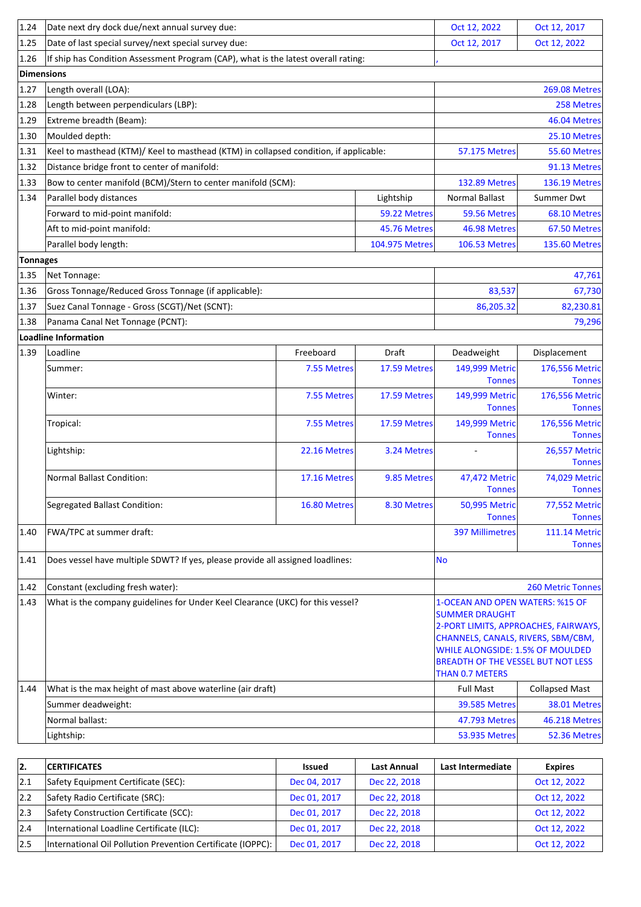| 1.24            | Date next dry dock due/next annual survey due:                                        |                                                                                    |                      | Oct 12, 2022                                                                                                                                                           | Oct 12, 2017                          |  |  |  |
|-----------------|---------------------------------------------------------------------------------------|------------------------------------------------------------------------------------|----------------------|------------------------------------------------------------------------------------------------------------------------------------------------------------------------|---------------------------------------|--|--|--|
| 1.25            | Date of last special survey/next special survey due:                                  |                                                                                    |                      | Oct 12, 2017                                                                                                                                                           | Oct 12, 2022                          |  |  |  |
| 1.26            |                                                                                       | If ship has Condition Assessment Program (CAP), what is the latest overall rating: |                      |                                                                                                                                                                        |                                       |  |  |  |
|                 | Dimensions                                                                            |                                                                                    |                      |                                                                                                                                                                        |                                       |  |  |  |
| 1.27            | Length overall (LOA):                                                                 |                                                                                    |                      |                                                                                                                                                                        | <b>269.08 Metres</b>                  |  |  |  |
| 1.28            | Length between perpendiculars (LBP):                                                  |                                                                                    |                      |                                                                                                                                                                        | 258 Metres                            |  |  |  |
| 1.29            | Extreme breadth (Beam):                                                               |                                                                                    |                      | 46.04 Metres                                                                                                                                                           |                                       |  |  |  |
| 1.30            | Moulded depth:                                                                        |                                                                                    |                      |                                                                                                                                                                        |                                       |  |  |  |
| 1.31            | Keel to masthead (KTM)/ Keel to masthead (KTM) in collapsed condition, if applicable: |                                                                                    | <b>57.175 Metres</b> | 55.60 Metres                                                                                                                                                           |                                       |  |  |  |
| 1.32            | Distance bridge front to center of manifold:                                          |                                                                                    |                      |                                                                                                                                                                        | 91.13 Metres                          |  |  |  |
| 1.33            | Bow to center manifold (BCM)/Stern to center manifold (SCM):                          |                                                                                    |                      | <b>132.89 Metres</b>                                                                                                                                                   | <b>136.19 Metres</b>                  |  |  |  |
| 1.34            | Parallel body distances                                                               |                                                                                    | Lightship            | Normal Ballast                                                                                                                                                         | Summer Dwt                            |  |  |  |
|                 | Forward to mid-point manifold:                                                        |                                                                                    | 59.22 Metres         | 59.56 Metres                                                                                                                                                           | 68.10 Metres                          |  |  |  |
|                 | Aft to mid-point manifold:                                                            |                                                                                    | 45.76 Metres         | 46.98 Metres                                                                                                                                                           | 67.50 Metres                          |  |  |  |
|                 | Parallel body length:                                                                 |                                                                                    | 104.975 Metres       | <b>106.53 Metres</b>                                                                                                                                                   | <b>135.60 Metres</b>                  |  |  |  |
| <b>Tonnages</b> |                                                                                       |                                                                                    |                      |                                                                                                                                                                        |                                       |  |  |  |
| 1.35            | Net Tonnage:                                                                          |                                                                                    |                      |                                                                                                                                                                        | 47,761                                |  |  |  |
| 1.36            | Gross Tonnage/Reduced Gross Tonnage (if applicable):                                  |                                                                                    | 83,537               | 67,730                                                                                                                                                                 |                                       |  |  |  |
| 1.37            | Suez Canal Tonnage - Gross (SCGT)/Net (SCNT):                                         |                                                                                    |                      | 86,205.32                                                                                                                                                              | 82,230.81                             |  |  |  |
| 1.38            | Panama Canal Net Tonnage (PCNT):                                                      |                                                                                    |                      |                                                                                                                                                                        | 79,296                                |  |  |  |
|                 | Loadline Information                                                                  |                                                                                    |                      |                                                                                                                                                                        |                                       |  |  |  |
| 1.39            | Loadline                                                                              | Freeboard                                                                          | Draft                | Deadweight                                                                                                                                                             | Displacement                          |  |  |  |
|                 | Summer:                                                                               | 7.55 Metres                                                                        | 17.59 Metres         | 149,999 Metric                                                                                                                                                         | 176,556 Metric                        |  |  |  |
|                 |                                                                                       |                                                                                    |                      | <b>Tonnes</b>                                                                                                                                                          | <b>Tonnes</b>                         |  |  |  |
|                 | Winter:                                                                               | 7.55 Metres                                                                        | 17.59 Metres         | 149,999 Metric<br><b>Tonnes</b>                                                                                                                                        | 176,556 Metric<br><b>Tonnes</b>       |  |  |  |
|                 | Tropical:                                                                             | 7.55 Metres                                                                        | 17.59 Metres         | 149,999 Metric<br><b>Tonnes</b>                                                                                                                                        | 176,556 Metric<br><b>Tonnes</b>       |  |  |  |
|                 | Lightship:                                                                            | 22.16 Metres                                                                       | 3.24 Metres          |                                                                                                                                                                        | <b>26,557 Metric</b><br><b>Tonnes</b> |  |  |  |
|                 | <b>Normal Ballast Condition:</b>                                                      | 17.16 Metres                                                                       | 9.85 Metres          | 47,472 Metric<br><b>Tonnes</b>                                                                                                                                         | 74,029 Metric<br><b>Tonnes</b>        |  |  |  |
|                 | <b>Segregated Ballast Condition:</b>                                                  | 16.80 Metres                                                                       | 8.30 Metres          | 50,995 Metric<br><b>Tonnes</b>                                                                                                                                         | 77,552 Metric<br><b>Tonnes</b>        |  |  |  |
| 1.40            | FWA/TPC at summer draft:                                                              |                                                                                    |                      | <b>397 Millimetres</b>                                                                                                                                                 | <b>111.14 Metric</b><br><b>Tonnes</b> |  |  |  |
| 1.41            | Does vessel have multiple SDWT? If yes, please provide all assigned loadlines:        |                                                                                    |                      | <b>No</b>                                                                                                                                                              |                                       |  |  |  |
| 1.42            | Constant (excluding fresh water):                                                     |                                                                                    |                      |                                                                                                                                                                        | <b>260 Metric Tonnes</b>              |  |  |  |
| $ 1.43\rangle$  | What is the company guidelines for Under Keel Clearance (UKC) for this vessel?        |                                                                                    |                      | 1-OCEAN AND OPEN WATERS: %15 OF                                                                                                                                        |                                       |  |  |  |
|                 |                                                                                       |                                                                                    |                      | <b>SUMMER DRAUGHT</b><br>CHANNELS, CANALS, RIVERS, SBM/CBM,<br>WHILE ALONGSIDE: 1.5% OF MOULDED<br><b>BREADTH OF THE VESSEL BUT NOT LESS</b><br><b>THAN 0.7 METERS</b> | 2-PORT LIMITS, APPROACHES, FAIRWAYS,  |  |  |  |
| 1.44            | What is the max height of mast above waterline (air draft)                            |                                                                                    |                      | <b>Full Mast</b>                                                                                                                                                       | <b>Collapsed Mast</b>                 |  |  |  |
|                 | Summer deadweight:                                                                    |                                                                                    |                      | <b>39.585 Metres</b>                                                                                                                                                   | 38.01 Metres                          |  |  |  |
|                 | Normal ballast:                                                                       |                                                                                    |                      | 47.793 Metres                                                                                                                                                          | <b>46.218 Metres</b>                  |  |  |  |
|                 | Lightship:                                                                            |                                                                                    |                      | <b>53.935 Metres</b>                                                                                                                                                   | <b>52.36 Metres</b>                   |  |  |  |

| 12. | <b>CERTIFICATES</b>                                         | <b>Issued</b> | <b>Last Annual</b> | Last Intermediate | <b>Expires</b> |
|-----|-------------------------------------------------------------|---------------|--------------------|-------------------|----------------|
| 2.1 | Safety Equipment Certificate (SEC):                         | Dec 04, 2017  | Dec 22, 2018       |                   | Oct 12, 2022   |
| 2.2 | Safety Radio Certificate (SRC):                             | Dec 01, 2017  | Dec 22, 2018       |                   | Oct 12, 2022   |
| 2.3 | Safety Construction Certificate (SCC):                      | Dec 01, 2017  | Dec 22, 2018       |                   | Oct 12, 2022   |
| 2.4 | International Loadline Certificate (ILC):                   | Dec 01, 2017  | Dec 22, 2018       |                   | Oct 12, 2022   |
| 2.5 | International Oil Pollution Prevention Certificate (IOPPC): | Dec 01, 2017  | Dec 22, 2018       |                   | Oct 12, 2022   |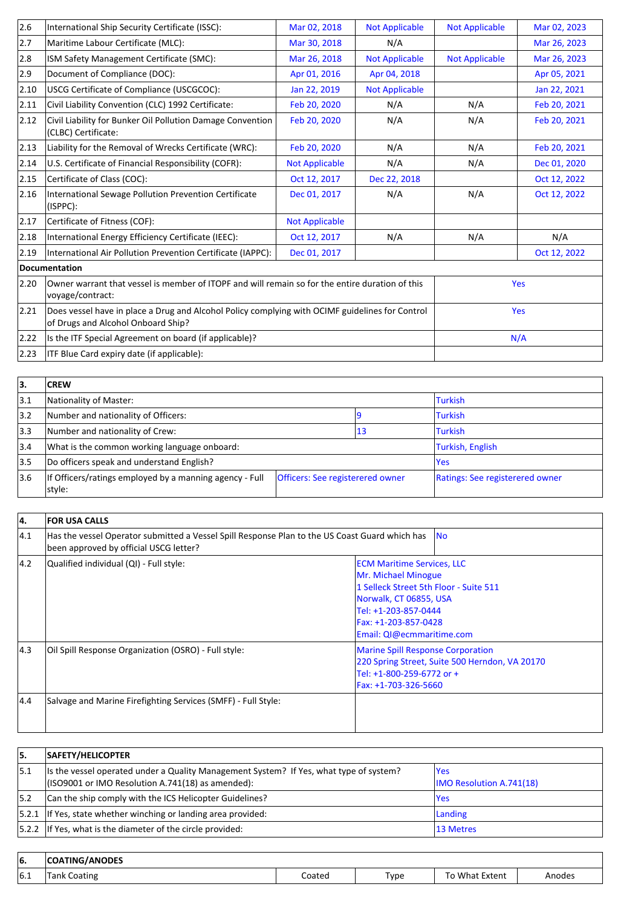| International Ship Security Certificate (ISSC):                                                                                               | Mar 02, 2018          | <b>Not Applicable</b> | <b>Not Applicable</b> | Mar 02, 2023 |
|-----------------------------------------------------------------------------------------------------------------------------------------------|-----------------------|-----------------------|-----------------------|--------------|
| Maritime Labour Certificate (MLC):                                                                                                            | Mar 30, 2018          | N/A                   |                       | Mar 26, 2023 |
| ISM Safety Management Certificate (SMC):                                                                                                      | Mar 26, 2018          | <b>Not Applicable</b> | <b>Not Applicable</b> | Mar 26, 2023 |
| Document of Compliance (DOC):                                                                                                                 | Apr 01, 2016          | Apr 04, 2018          |                       | Apr 05, 2021 |
| USCG Certificate of Compliance (USCGCOC):                                                                                                     | Jan 22, 2019          | <b>Not Applicable</b> |                       | Jan 22, 2021 |
| Civil Liability Convention (CLC) 1992 Certificate:                                                                                            | Feb 20, 2020          | N/A                   | N/A                   | Feb 20, 2021 |
| Civil Liability for Bunker Oil Pollution Damage Convention<br>(CLBC) Certificate:                                                             | Feb 20, 2020          | N/A                   | N/A                   | Feb 20, 2021 |
| Liability for the Removal of Wrecks Certificate (WRC):                                                                                        | Feb 20, 2020          | N/A                   | N/A                   | Feb 20, 2021 |
| U.S. Certificate of Financial Responsibility (COFR):                                                                                          | <b>Not Applicable</b> | N/A                   | N/A                   | Dec 01, 2020 |
| Certificate of Class (COC):                                                                                                                   | Oct 12, 2017          | Dec 22, 2018          |                       | Oct 12, 2022 |
| International Sewage Pollution Prevention Certificate<br>(ISPPC):                                                                             | Dec 01, 2017          | N/A                   | N/A                   | Oct 12, 2022 |
| Certificate of Fitness (COF):                                                                                                                 | <b>Not Applicable</b> |                       |                       |              |
| International Energy Efficiency Certificate (IEEC):                                                                                           | Oct 12, 2017          | N/A                   | N/A                   | N/A          |
| International Air Pollution Prevention Certificate (IAPPC):                                                                                   | Dec 01, 2017          |                       |                       | Oct 12, 2022 |
| Documentation                                                                                                                                 |                       |                       |                       |              |
| 2.20<br>Owner warrant that vessel is member of ITOPF and will remain so for the entire duration of this<br>voyage/contract:                   |                       |                       | Yes                   |              |
| 2.21<br>Does vessel have in place a Drug and Alcohol Policy complying with OCIMF guidelines for Control<br>of Drugs and Alcohol Onboard Ship? |                       |                       |                       | Yes          |
| 2.22<br>Is the ITF Special Agreement on board (if applicable)?                                                                                |                       |                       |                       | N/A          |
| ITF Blue Card expiry date (if applicable):                                                                                                    |                       |                       |                       |              |
|                                                                                                                                               |                       |                       |                       |              |

| 3.            | <b>CREW</b>                                                       |                                  |    |                                 |
|---------------|-------------------------------------------------------------------|----------------------------------|----|---------------------------------|
| 3.1           | Nationality of Master:                                            |                                  |    | <b>Turkish</b>                  |
| $ 3.2\rangle$ | Number and nationality of Officers:                               |                                  |    | <b>Turkish</b>                  |
| 3.3           | Number and nationality of Crew:                                   |                                  | 13 | <b>Turkish</b>                  |
| 3.4           | What is the common working language onboard:                      |                                  |    | Turkish, English                |
| 3.5           | Do officers speak and understand English?                         |                                  |    | <b>Yes</b>                      |
| 3.6           | If Officers/ratings employed by a manning agency - Full<br>style: | Officers: See registerered owner |    | Ratings: See registerered owner |

| 14.           | <b>FOR USA CALLS</b>                                                                                                                     |                                                                                                                                                                                                           |  |  |  |
|---------------|------------------------------------------------------------------------------------------------------------------------------------------|-----------------------------------------------------------------------------------------------------------------------------------------------------------------------------------------------------------|--|--|--|
| 4.1           | Has the vessel Operator submitted a Vessel Spill Response Plan to the US Coast Guard which has<br>been approved by official USCG letter? | <b>INO</b>                                                                                                                                                                                                |  |  |  |
| $ 4.2\rangle$ | Qualified individual (QI) - Full style:                                                                                                  | <b>ECM Maritime Services, LLC</b><br>Mr. Michael Minogue<br>1 Selleck Street 5th Floor - Suite 511<br>Norwalk, CT 06855, USA<br>Tel: +1-203-857-0444<br>Fax: +1-203-857-0428<br>Email: QI@ecmmaritime.com |  |  |  |
| 4.3           | Oil Spill Response Organization (OSRO) - Full style:                                                                                     | <b>Marine Spill Response Corporation</b><br>220 Spring Street, Suite 500 Herndon, VA 20170<br>Tel: +1-800-259-6772 or +<br>Fax: +1-703-326-5660                                                           |  |  |  |
| 4.4           | Salvage and Marine Firefighting Services (SMFF) - Full Style:                                                                            |                                                                                                                                                                                                           |  |  |  |

| 15.  | <b>SAFETY/HELICOPTER</b>                                                                                                                     |                                         |
|------|----------------------------------------------------------------------------------------------------------------------------------------------|-----------------------------------------|
| 15.1 | Its the vessel operated under a Quality Management System? If Yes, what type of system?<br>(ISO9001 or IMO Resolution A.741(18) as amended): | lYes<br><b>IMO Resolution A.741(18)</b> |
| 5.2  | Can the ship comply with the ICS Helicopter Guidelines?                                                                                      | lYes                                    |
|      | $ 5.2.1 $ If Yes, state whether winching or landing area provided:                                                                           | Landing                                 |
|      | $ 5.2.2 $ If Yes, what is the diameter of the circle provided:                                                                               | 13 Metres                               |

| 66. | i/ANODES<br>. ING<br>æ |        |      |                  |       |
|-----|------------------------|--------|------|------------------|-------|
| 6.1 | Coating                | coated | Туре | . What<br>Extent | modes |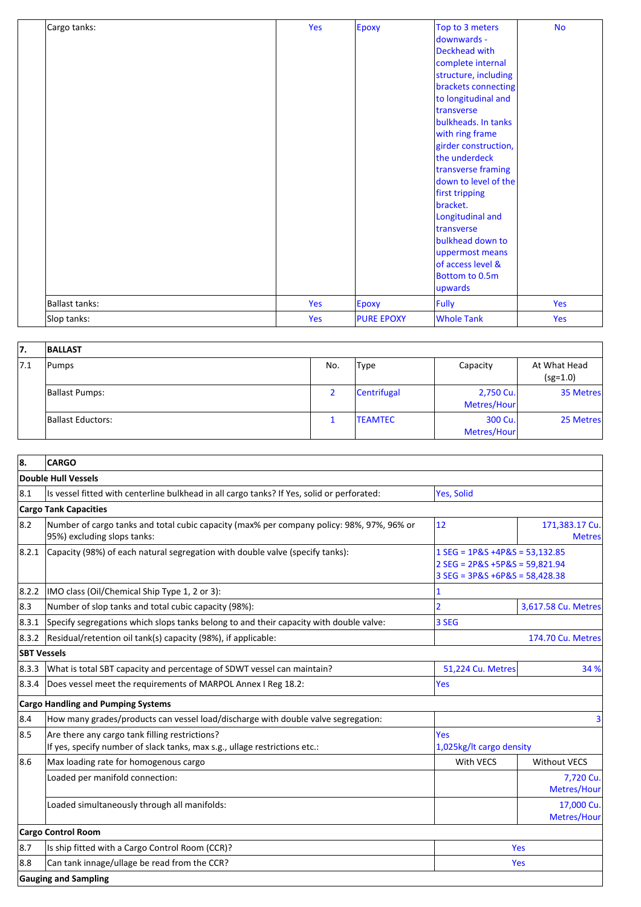| Cargo tanks:          | Yes | Epoxy             | Top to 3 meters      | <b>No</b> |
|-----------------------|-----|-------------------|----------------------|-----------|
|                       |     |                   | downwards -          |           |
|                       |     |                   | Deckhead with        |           |
|                       |     |                   | complete internal    |           |
|                       |     |                   | structure, including |           |
|                       |     |                   | brackets connecting  |           |
|                       |     |                   | to longitudinal and  |           |
|                       |     |                   | <b>Itransverse</b>   |           |
|                       |     |                   | bulkheads. In tanks  |           |
|                       |     |                   | with ring frame      |           |
|                       |     |                   | girder construction, |           |
|                       |     |                   | the underdeck        |           |
|                       |     |                   | transverse framing   |           |
|                       |     |                   | down to level of the |           |
|                       |     |                   | first tripping       |           |
|                       |     |                   | bracket.             |           |
|                       |     |                   | Longitudinal and     |           |
|                       |     |                   | <b>Itransverse</b>   |           |
|                       |     |                   | bulkhead down to     |           |
|                       |     |                   | uppermost means      |           |
|                       |     |                   | of access level &    |           |
|                       |     |                   | Bottom to 0.5m       |           |
|                       |     |                   | upwards              |           |
| <b>Ballast tanks:</b> | Yes | <b>Epoxy</b>      | Fully                | Yes       |
| Slop tanks:           | Yes | <b>PURE EPOXY</b> | <b>Whole Tank</b>    | Yes       |

| 17.  | <b>BALLAST</b>        |     |                 |                          |                            |
|------|-----------------------|-----|-----------------|--------------------------|----------------------------|
| 17.1 | Pumps                 | No. | Type            | Capacity                 | At What Head<br>$(sg=1.0)$ |
|      | <b>Ballast Pumps:</b> |     | Centrifugal     | 2,750 Cu.<br>Metres/Hour | 35 Metres                  |
|      | Ballast Eductors:     |     | <b>ITEAMTEC</b> | 300 Cu.<br>Metres/Hour   | 25 Metres                  |

| 8.<br><b>CARGO</b>                                                                                                                  |                                                                                                           |                                 |
|-------------------------------------------------------------------------------------------------------------------------------------|-----------------------------------------------------------------------------------------------------------|---------------------------------|
| Double Hull Vessels                                                                                                                 |                                                                                                           |                                 |
| 8.1 <br>Is vessel fitted with centerline bulkhead in all cargo tanks? If Yes, solid or perforated:                                  | Yes, Solid                                                                                                |                                 |
| <b>Cargo Tank Capacities</b>                                                                                                        |                                                                                                           |                                 |
| 8.2<br>Number of cargo tanks and total cubic capacity (max% per company policy: 98%, 97%, 96% or<br>95%) excluding slops tanks:     | 12                                                                                                        | 171,383.17 Cu.<br><b>Metres</b> |
| 8.2.1 <br>Capacity (98%) of each natural segregation with double valve (specify tanks):                                             | $1$ SEG = 1P&S +4P&S = 53,132.85<br>$2$ SEG = 2P&S +5P&S = 59,821.94<br>$3 SEG = 3P&S + 6P&S = 58,428.38$ |                                 |
| 8.2.2 <br>IMO class (Oil/Chemical Ship Type 1, 2 or 3):                                                                             |                                                                                                           |                                 |
| 8.3<br>Number of slop tanks and total cubic capacity (98%):                                                                         | $\overline{2}$                                                                                            | 3,617.58 Cu. Metres             |
| Specify segregations which slops tanks belong to and their capacity with double valve:<br> 8.3.1                                    | 3 SEG                                                                                                     |                                 |
| Residual/retention oil tank(s) capacity (98%), if applicable:<br> 8.3.2                                                             |                                                                                                           | <b>174.70 Cu. Metres</b>        |
| <b>SBT Vessels</b>                                                                                                                  |                                                                                                           |                                 |
| 8.3.3 <br>What is total SBT capacity and percentage of SDWT vessel can maintain?                                                    | 51,224 Cu. Metres                                                                                         | 34 %                            |
| Does vessel meet the requirements of MARPOL Annex I Reg 18.2:<br> 8.3.4                                                             | Yes                                                                                                       |                                 |
| <b>Cargo Handling and Pumping Systems</b>                                                                                           |                                                                                                           |                                 |
| 8.4<br>How many grades/products can vessel load/discharge with double valve segregation:                                            |                                                                                                           | $\overline{\mathbf{3}}$         |
| 8.5<br>Are there any cargo tank filling restrictions?<br>If yes, specify number of slack tanks, max s.g., ullage restrictions etc.: | <b>Yes</b><br>1,025kg/lt cargo density                                                                    |                                 |
| 8.6<br>Max loading rate for homogenous cargo                                                                                        | With VECS                                                                                                 | <b>Without VECS</b>             |
| Loaded per manifold connection:                                                                                                     |                                                                                                           | 7,720 Cu.<br>Metres/Hour        |
| Loaded simultaneously through all manifolds:                                                                                        |                                                                                                           | 17,000 Cu.<br>Metres/Hour       |
| <b>Cargo Control Room</b>                                                                                                           |                                                                                                           |                                 |
| 8.7<br>Is ship fitted with a Cargo Control Room (CCR)?                                                                              |                                                                                                           | Yes                             |
| Can tank innage/ullage be read from the CCR?<br>8.8                                                                                 |                                                                                                           | Yes                             |
| <b>Gauging and Sampling</b>                                                                                                         |                                                                                                           |                                 |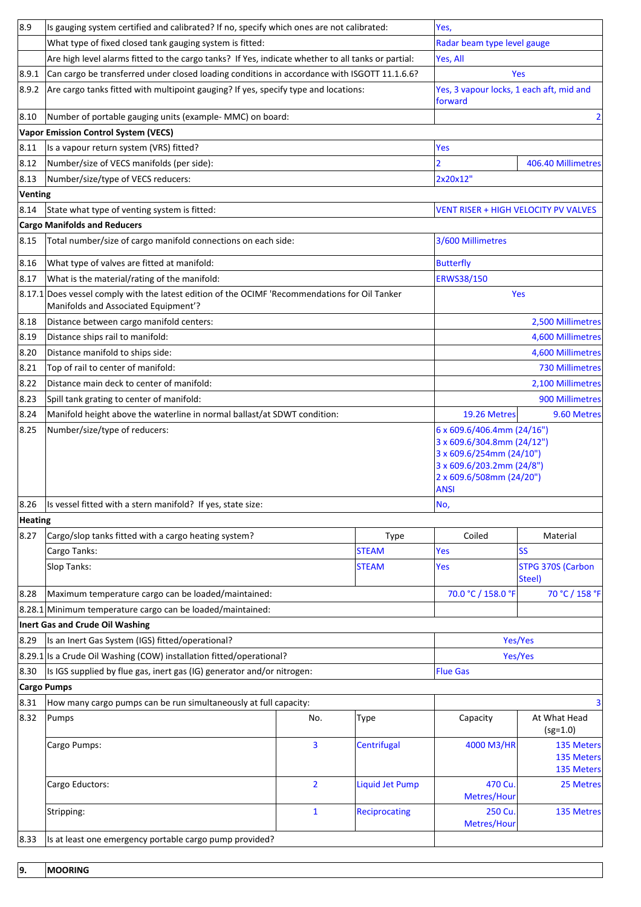| 8.9     | Is gauging system certified and calibrated? If no, specify which ones are not calibrated:                                              |                |                    | Yes,                                                                                                                                                         |                                               |  |
|---------|----------------------------------------------------------------------------------------------------------------------------------------|----------------|--------------------|--------------------------------------------------------------------------------------------------------------------------------------------------------------|-----------------------------------------------|--|
|         | What type of fixed closed tank gauging system is fitted:                                                                               |                |                    | Radar beam type level gauge                                                                                                                                  |                                               |  |
|         | Are high level alarms fitted to the cargo tanks? If Yes, indicate whether to all tanks or partial:                                     | Yes, All       |                    |                                                                                                                                                              |                                               |  |
| 8.9.1   | Can cargo be transferred under closed loading conditions in accordance with ISGOTT 11.1.6.6?                                           |                |                    |                                                                                                                                                              | Yes                                           |  |
| 8.9.2   | Are cargo tanks fitted with multipoint gauging? If yes, specify type and locations:                                                    |                |                    | Yes, 3 vapour locks, 1 each aft, mid and<br>forward                                                                                                          |                                               |  |
| 8.10    | Number of portable gauging units (example- MMC) on board:<br>2                                                                         |                |                    |                                                                                                                                                              |                                               |  |
|         | <b>Vapor Emission Control System (VECS)</b>                                                                                            |                |                    |                                                                                                                                                              |                                               |  |
| 8.11    | Is a vapour return system (VRS) fitted?                                                                                                |                |                    | Yes                                                                                                                                                          |                                               |  |
| 8.12    | Number/size of VECS manifolds (per side):                                                                                              |                |                    | $\overline{2}$                                                                                                                                               | 406.40 Millimetres                            |  |
| 8.13    | Number/size/type of VECS reducers:                                                                                                     |                |                    |                                                                                                                                                              |                                               |  |
| Venting |                                                                                                                                        |                |                    |                                                                                                                                                              |                                               |  |
| 8.14    | State what type of venting system is fitted:                                                                                           |                |                    | <b>VENT RISER + HIGH VELOCITY PV VALVES</b>                                                                                                                  |                                               |  |
|         | <b>Cargo Manifolds and Reducers</b>                                                                                                    |                |                    |                                                                                                                                                              |                                               |  |
| 8.15    | Total number/size of cargo manifold connections on each side:                                                                          |                |                    | 3/600 Millimetres                                                                                                                                            |                                               |  |
| 8.16    | What type of valves are fitted at manifold:                                                                                            |                |                    | <b>Butterfly</b>                                                                                                                                             |                                               |  |
| 8.17    | What is the material/rating of the manifold:                                                                                           |                |                    | <b>ERWS38/150</b>                                                                                                                                            |                                               |  |
|         | 8.17.1 Does vessel comply with the latest edition of the OCIMF 'Recommendations for Oil Tanker<br>Manifolds and Associated Equipment'? |                |                    |                                                                                                                                                              | Yes                                           |  |
| 8.18    | Distance between cargo manifold centers:                                                                                               |                |                    |                                                                                                                                                              | 2,500 Millimetres                             |  |
| 8.19    | Distance ships rail to manifold:                                                                                                       |                |                    |                                                                                                                                                              | 4,600 Millimetres                             |  |
| 8.20    | Distance manifold to ships side:                                                                                                       |                |                    |                                                                                                                                                              | 4,600 Millimetres                             |  |
| 8.21    | Top of rail to center of manifold:                                                                                                     |                |                    | <b>730 Millimetres</b>                                                                                                                                       |                                               |  |
| 8.22    | Distance main deck to center of manifold:                                                                                              |                |                    | 2,100 Millimetres                                                                                                                                            |                                               |  |
| 8.23    | Spill tank grating to center of manifold:                                                                                              |                |                    |                                                                                                                                                              | 900 Millimetres                               |  |
| 8.24    | Manifold height above the waterline in normal ballast/at SDWT condition:                                                               |                |                    | 19.26 Metres                                                                                                                                                 | 9.60 Metres                                   |  |
| 8.25    | Number/size/type of reducers:                                                                                                          |                |                    | 6 x 609.6/406.4mm (24/16")<br>3 x 609.6/304.8mm (24/12")<br>3 x 609.6/254mm (24/10")<br>3 x 609.6/203.2mm (24/8")<br>2 x 609.6/508mm (24/20")<br><b>ANSI</b> |                                               |  |
| 8.26    | Is vessel fitted with a stern manifold? If yes, state size:                                                                            |                |                    | No,                                                                                                                                                          |                                               |  |
| Heating |                                                                                                                                        |                |                    |                                                                                                                                                              |                                               |  |
| 8.27    | Cargo/slop tanks fitted with a cargo heating system?                                                                                   |                | <b>Type</b>        | Coiled                                                                                                                                                       | Material                                      |  |
|         | Cargo Tanks:                                                                                                                           |                | <b>STEAM</b>       | <b>Yes</b>                                                                                                                                                   | lss                                           |  |
|         | Slop Tanks:                                                                                                                            |                | <b>STEAM</b>       | Yes                                                                                                                                                          | <b>STPG 370S (Carbon</b><br>Steel)            |  |
| 8.28    | Maximum temperature cargo can be loaded/maintained:                                                                                    |                |                    | 70.0 °C / 158.0 °F                                                                                                                                           | 70 °C / 158 °F                                |  |
|         | $\left  8.28.1 \right $ Minimum temperature cargo can be loaded/maintained:                                                            |                |                    |                                                                                                                                                              |                                               |  |
|         | Inert Gas and Crude Oil Washing                                                                                                        |                |                    |                                                                                                                                                              |                                               |  |
| 8.29    | Is an Inert Gas System (IGS) fitted/operational?                                                                                       |                |                    | Yes/Yes                                                                                                                                                      |                                               |  |
|         | 8.29.1 Is a Crude Oil Washing (COW) installation fitted/operational?                                                                   |                |                    |                                                                                                                                                              | Yes/Yes                                       |  |
| 8.30    | Is IGS supplied by flue gas, inert gas (IG) generator and/or nitrogen:                                                                 |                |                    | <b>Flue Gas</b>                                                                                                                                              |                                               |  |
|         | <b>Cargo Pumps</b>                                                                                                                     |                |                    |                                                                                                                                                              |                                               |  |
| 8.31    | How many cargo pumps can be run simultaneously at full capacity:                                                                       |                |                    |                                                                                                                                                              | з                                             |  |
| 8.32    | Pumps                                                                                                                                  | No.            | Type               | Capacity                                                                                                                                                     | At What Head<br>$(sg=1.0)$                    |  |
|         | Cargo Pumps:                                                                                                                           | 3              | <b>Centrifugal</b> | 4000 M3/HR                                                                                                                                                   | <b>135 Meters</b><br>135 Meters<br>135 Meters |  |
|         | Cargo Eductors:                                                                                                                        | $\overline{2}$ | Liquid Jet Pump    | 470 Cu<br>Metres/Hour                                                                                                                                        | 25 Metres                                     |  |
|         | Stripping:                                                                                                                             | $\mathbf{1}$   | Reciprocating      | 250 Cu.<br>Metres/Hour                                                                                                                                       | 135 Metres                                    |  |
| 8.33    | Is at least one emergency portable cargo pump provided?                                                                                |                |                    |                                                                                                                                                              |                                               |  |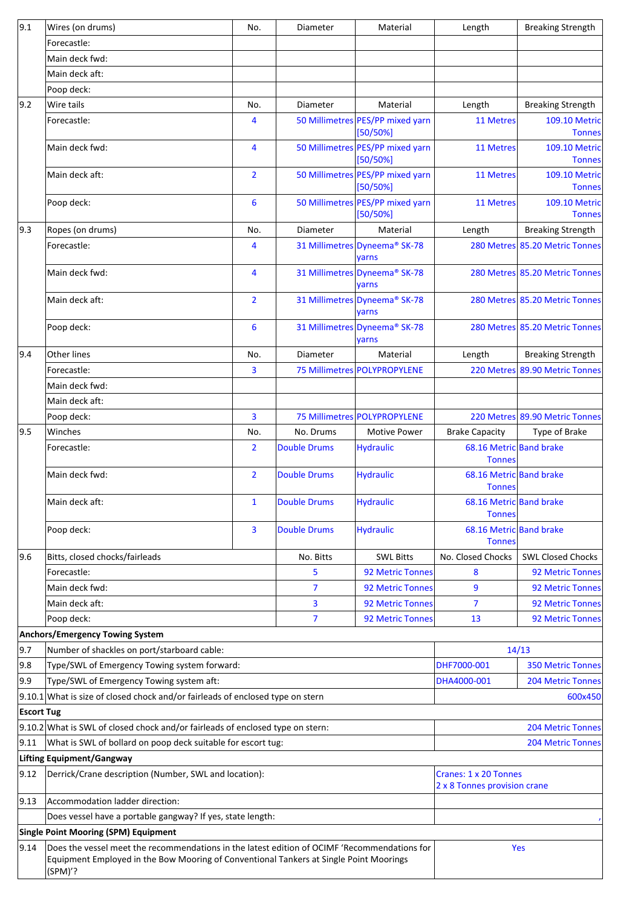| 9.1                                         | Wires (on drums)                                                                                                                                                                                  | No.            | Diameter            | Material                                              | Length                                   | <b>Breaking Strength</b>              |
|---------------------------------------------|---------------------------------------------------------------------------------------------------------------------------------------------------------------------------------------------------|----------------|---------------------|-------------------------------------------------------|------------------------------------------|---------------------------------------|
|                                             | Forecastle:                                                                                                                                                                                       |                |                     |                                                       |                                          |                                       |
|                                             | Main deck fwd:                                                                                                                                                                                    |                |                     |                                                       |                                          |                                       |
|                                             | Main deck aft:                                                                                                                                                                                    |                |                     |                                                       |                                          |                                       |
|                                             | Poop deck:                                                                                                                                                                                        |                |                     |                                                       |                                          |                                       |
| $ 9.2\rangle$                               | Wire tails                                                                                                                                                                                        | No.            | Diameter            | Material                                              | Length                                   | <b>Breaking Strength</b>              |
|                                             | Forecastle:                                                                                                                                                                                       | 4              |                     | 50 Millimetres PES/PP mixed yarn<br>[50/50%]          | <b>11 Metres</b>                         | <b>109.10 Metric</b><br><b>Tonnes</b> |
|                                             | Main deck fwd:                                                                                                                                                                                    | 4              |                     | 50 Millimetres PES/PP mixed yarn<br>[50/50%]          | <b>11 Metres</b>                         | <b>109.10 Metric</b><br><b>Tonnes</b> |
|                                             | Main deck aft:                                                                                                                                                                                    | $\overline{2}$ |                     | 50 Millimetres PES/PP mixed yarn<br>$[50/50\%]$       | <b>11 Metres</b>                         | <b>109.10 Metric</b><br><b>Tonnes</b> |
|                                             | Poop deck:                                                                                                                                                                                        | 6              |                     | 50 Millimetres PES/PP mixed yarn<br>$[50/50\%]$       | <b>11 Metres</b>                         | <b>109.10 Metric</b><br><b>Tonnes</b> |
| 9.3                                         | Ropes (on drums)                                                                                                                                                                                  | No.            | Diameter            | Material                                              | Length                                   | <b>Breaking Strength</b>              |
|                                             | Forecastle:                                                                                                                                                                                       | 4              |                     | 31 Millimetres Dyneema® SK-78<br>yarns                |                                          | 280 Metres 85.20 Metric Tonnes        |
|                                             | Main deck fwd:                                                                                                                                                                                    | 4              |                     | 31 Millimetres Dyneema® SK-78<br>yarns                |                                          | 280 Metres 85.20 Metric Tonnes        |
|                                             | Main deck aft:                                                                                                                                                                                    | $\overline{2}$ |                     | 31 Millimetres Dyneema <sup>®</sup> SK-78<br>yarns    |                                          | 280 Metres 85.20 Metric Tonnes        |
|                                             | Poop deck:                                                                                                                                                                                        | 6              |                     | 31 Millimetres Dyneema® SK-78<br>yarns                |                                          | 280 Metres 85.20 Metric Tonnes        |
| 9.4                                         | Other lines                                                                                                                                                                                       | No.            | Diameter            | Material                                              | Length                                   | <b>Breaking Strength</b>              |
|                                             | Forecastle:                                                                                                                                                                                       | 3              |                     | 75 Millimetres POLYPROPYLENE                          | 220 Metres                               | 89.90 Metric Tonnes                   |
|                                             | Main deck fwd:                                                                                                                                                                                    |                |                     |                                                       |                                          |                                       |
|                                             | Main deck aft:                                                                                                                                                                                    |                |                     |                                                       |                                          |                                       |
|                                             | Poop deck:                                                                                                                                                                                        | 3              |                     | 75 Millimetres POLYPROPYLENE                          |                                          | 220 Metres 89.90 Metric Tonnes        |
| 9.5                                         | Winches                                                                                                                                                                                           | No.            | No. Drums           | <b>Motive Power</b>                                   | <b>Brake Capacity</b>                    | Type of Brake                         |
|                                             | Forecastle:                                                                                                                                                                                       | $\overline{2}$ | <b>Double Drums</b> | <b>Hydraulic</b>                                      | 68.16 Metric Band brake<br><b>Tonnes</b> |                                       |
|                                             | Main deck fwd:                                                                                                                                                                                    | $\overline{2}$ | <b>Double Drums</b> | <b>Hydraulic</b>                                      | 68.16 Metric Band brake<br><b>Tonnes</b> |                                       |
|                                             | Main deck aft:                                                                                                                                                                                    | $\mathbf{1}$   | Double Drums        | <b>Hydraulic</b>                                      | 68.16 Metric Band brake<br><b>Tonnes</b> |                                       |
|                                             | Poop deck:                                                                                                                                                                                        | 3              | <b>Double Drums</b> | <b>Hydraulic</b>                                      | 68.16 Metric Band brake<br><b>Tonnes</b> |                                       |
| 9.6                                         | Bitts, closed chocks/fairleads                                                                                                                                                                    |                | No. Bitts           | <b>SWL Bitts</b>                                      | No. Closed Chocks                        | <b>SWL Closed Chocks</b>              |
|                                             | Forecastle:                                                                                                                                                                                       |                | 5                   | 92 Metric Tonnes                                      | 8                                        | <b>92 Metric Tonnes</b>               |
|                                             | Main deck fwd:                                                                                                                                                                                    |                | $\overline{7}$      | <b>92 Metric Tonnes</b>                               | 9                                        | <b>92 Metric Tonnes</b>               |
|                                             | Main deck aft:                                                                                                                                                                                    |                | 3                   | <b>92 Metric Tonnes</b>                               | 7                                        | <b>92 Metric Tonnes</b>               |
|                                             | Poop deck:                                                                                                                                                                                        |                | $\overline{7}$      | 92 Metric Tonnes                                      | 13                                       | <b>92 Metric Tonnes</b>               |
|                                             | <b>Anchors/Emergency Towing System</b>                                                                                                                                                            |                |                     |                                                       |                                          |                                       |
| 9.7                                         | Number of shackles on port/starboard cable:                                                                                                                                                       |                |                     |                                                       |                                          | 14/13                                 |
| 9.8                                         | Type/SWL of Emergency Towing system forward:                                                                                                                                                      |                |                     | DHF7000-001                                           | <b>350 Metric Tonnes</b>                 |                                       |
| 9.9                                         | Type/SWL of Emergency Towing system aft:                                                                                                                                                          |                |                     |                                                       | DHA4000-001                              | <b>204 Metric Tonnes</b>              |
|                                             | $9.10.1$ What is size of closed chock and/or fairleads of enclosed type on stern<br>600x450                                                                                                       |                |                     |                                                       |                                          |                                       |
|                                             | <b>Escort Tug</b>                                                                                                                                                                                 |                |                     |                                                       |                                          |                                       |
|                                             | 9.10.2 What is SWL of closed chock and/or fairleads of enclosed type on stern:<br><b>204 Metric Tonnes</b>                                                                                        |                |                     |                                                       |                                          |                                       |
| 9.11                                        | What is SWL of bollard on poop deck suitable for escort tug:                                                                                                                                      |                |                     |                                                       | <b>204 Metric Tonnes</b>                 |                                       |
|                                             | Lifting Equipment/Gangway                                                                                                                                                                         |                |                     |                                                       |                                          |                                       |
| 9.12                                        | Derrick/Crane description (Number, SWL and location):                                                                                                                                             |                |                     | Cranes: 1 x 20 Tonnes<br>2 x 8 Tonnes provision crane |                                          |                                       |
| 9.13                                        | Accommodation ladder direction:                                                                                                                                                                   |                |                     |                                                       |                                          |                                       |
|                                             | Does vessel have a portable gangway? If yes, state length:                                                                                                                                        |                |                     |                                                       |                                          |                                       |
| <b>Single Point Mooring (SPM) Equipment</b> |                                                                                                                                                                                                   |                |                     |                                                       |                                          |                                       |
| 9.14                                        | Does the vessel meet the recommendations in the latest edition of OCIMF 'Recommendations for<br>Equipment Employed in the Bow Mooring of Conventional Tankers at Single Point Moorings<br>(SPM)'? |                |                     |                                                       |                                          | Yes                                   |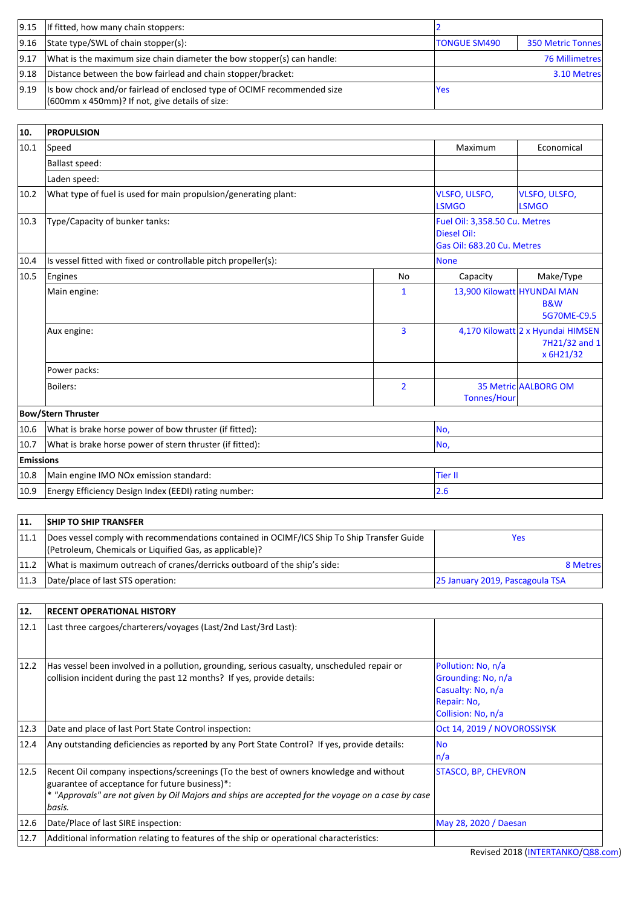|                | $\vert 9.15 \vert$   If fitted, how many chain stoppers:                                                                     |                     |                          |
|----------------|------------------------------------------------------------------------------------------------------------------------------|---------------------|--------------------------|
| 9.16           | State type/SWL of chain stopper(s):                                                                                          | <b>TONGUE SM490</b> | <b>350 Metric Tonnes</b> |
| 9.17           | What is the maximum size chain diameter the bow stopper(s) can handle:                                                       |                     | <b>76 Millimetres</b>    |
| $ 9.18\rangle$ | Distance between the bow fairlead and chain stopper/bracket:                                                                 |                     | 3.10 Metres              |
| $ 9.19\rangle$ | Is bow chock and/or fairlead of enclosed type of OCIMF recommended size<br>$(600$ mm x 450mm)? If not, give details of size: | Yes                 |                          |

| 10.       | <b>PROPULSION</b>                                               |                |                                                                                   |                                                                 |  |
|-----------|-----------------------------------------------------------------|----------------|-----------------------------------------------------------------------------------|-----------------------------------------------------------------|--|
| 10.1      | Speed                                                           | Maximum        | Economical                                                                        |                                                                 |  |
|           | Ballast speed:                                                  |                |                                                                                   |                                                                 |  |
|           | Laden speed:                                                    |                |                                                                                   |                                                                 |  |
| 10.2      | What type of fuel is used for main propulsion/generating plant: |                | <b>VLSFO, ULSFO,</b><br><b>LSMGO</b>                                              | <b>VLSFO, ULSFO,</b><br><b>LSMGO</b>                            |  |
| 10.3      | Type/Capacity of bunker tanks:                                  |                | Fuel Oil: 3,358.50 Cu. Metres<br><b>Diesel Oil:</b><br>Gas Oil: 683.20 Cu. Metres |                                                                 |  |
| 10.4      | Is vessel fitted with fixed or controllable pitch propeller(s): |                |                                                                                   | <b>None</b>                                                     |  |
| 10.5      | Engines                                                         | No             | Capacity                                                                          | Make/Type                                                       |  |
|           | Main engine:                                                    | $\mathbf{1}$   | 13,900 Kilowatt HYUNDAI MAN                                                       | <b>B&amp;W</b><br>5G70ME-C9.5                                   |  |
|           | Aux engine:                                                     | $\overline{3}$ |                                                                                   | 4,170 Kilowatt 2 x Hyundai HIMSEN<br>7H21/32 and 1<br>x 6H21/32 |  |
|           | Power packs:                                                    |                |                                                                                   |                                                                 |  |
|           | Boilers:                                                        | $\overline{2}$ | <b>Tonnes/Hour</b>                                                                | <b>35 Metric AALBORG OM</b>                                     |  |
|           | <b>Bow/Stern Thruster</b>                                       |                |                                                                                   |                                                                 |  |
| 10.6      | What is brake horse power of bow thruster (if fitted):          |                | No,                                                                               |                                                                 |  |
| 10.7      | What is brake horse power of stern thruster (if fitted):        | No,            |                                                                                   |                                                                 |  |
| Emissions |                                                                 |                |                                                                                   |                                                                 |  |
| 10.8      | Main engine IMO NOx emission standard:                          | <b>Tier II</b> |                                                                                   |                                                                 |  |
| 10.9      | Energy Efficiency Design Index (EEDI) rating number:            | 2.6            |                                                                                   |                                                                 |  |

| 11.  | <b>SHIP TO SHIP TRANSFER</b>                                                                                                                          |                                 |
|------|-------------------------------------------------------------------------------------------------------------------------------------------------------|---------------------------------|
| 11.1 | Does vessel comply with recommendations contained in OCIMF/ICS Ship To Ship Transfer Guide<br>(Petroleum, Chemicals or Liquified Gas, as applicable)? | Yes                             |
| 11.2 | What is maximum outreach of cranes/derricks outboard of the ship's side:                                                                              | 8 Metres                        |
| 11.3 | Date/place of last STS operation:                                                                                                                     | 25 January 2019, Pascagoula TSA |

| 12.            | <b>RECENT OPERATIONAL HISTORY</b>                                                                                                                                                                                                                       |                                                                                                    |
|----------------|---------------------------------------------------------------------------------------------------------------------------------------------------------------------------------------------------------------------------------------------------------|----------------------------------------------------------------------------------------------------|
| 12.1           | Last three cargoes/charterers/voyages (Last/2nd Last/3rd Last):                                                                                                                                                                                         |                                                                                                    |
| 12.2           | Has vessel been involved in a pollution, grounding, serious casualty, unscheduled repair or<br>collision incident during the past 12 months? If yes, provide details:                                                                                   | Pollution: No, n/a<br>Grounding: No, n/a<br>Casualty: No, n/a<br>Repair: No,<br>Collision: No, n/a |
| 12.3           | Date and place of last Port State Control inspection:                                                                                                                                                                                                   | Oct 14, 2019 / NOVOROSSIYSK                                                                        |
| $ 12.4\rangle$ | Any outstanding deficiencies as reported by any Port State Control? If yes, provide details:                                                                                                                                                            | <b>No</b><br>n/a                                                                                   |
| 12.5           | Recent Oil company inspections/screenings (To the best of owners knowledge and without<br>guarantee of acceptance for future business)*:<br>* "Approvals" are not given by Oil Majors and ships are accepted for the voyage on a case by case<br>basis. | <b>STASCO, BP, CHEVRON</b>                                                                         |
| 12.6           | Date/Place of last SIRE inspection:                                                                                                                                                                                                                     | May 28, 2020 / Daesan                                                                              |
| 12.7           | Additional information relating to features of the ship or operational characteristics:                                                                                                                                                                 |                                                                                                    |